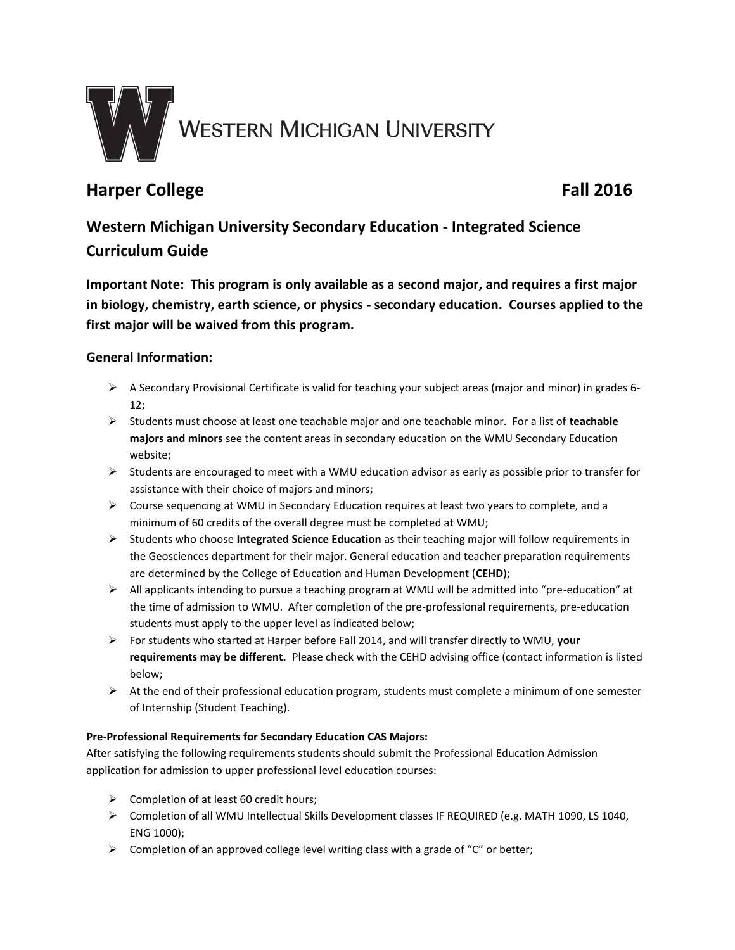

# **Harper College Fall 2016**

# **Western Michigan University Secondary Education - Integrated Science Curriculum Guide**

**Important Note: This program is only available as a second major, and requires a first major in biology, chemistry, earth science, or physics - secondary education. Courses applied to the first major will be waived from this program.**

# **General Information:**

- $\triangleright$  A Secondary Provisional Certificate is valid for teaching your subject areas (major and minor) in grades 6-12;
- Students must choose at least one teachable major and one teachable minor. For a list of **teachable majors and minors** see the content areas in secondary education on the WMU Secondary Education website;
- $\triangleright$  Students are encouraged to meet with a WMU education advisor as early as possible prior to transfer for assistance with their choice of majors and minors;
- $\triangleright$  Course sequencing at WMU in Secondary Education requires at least two years to complete, and a minimum of 60 credits of the overall degree must be completed at WMU;
- Students who choose **Integrated Science Education** as their teaching major will follow requirements in the Geosciences department for their major. General education and teacher preparation requirements are determined by the College of Education and Human Development (**CEHD**);
- $\triangleright$  All applicants intending to pursue a teaching program at WMU will be admitted into "pre-education" at the time of admission to WMU. After completion of the pre-professional requirements, pre-education students must apply to the upper level as indicated below;
- For students who started at Harper before Fall 2014, and will transfer directly to WMU, **your requirements may be different.** Please check with the CEHD advising office (contact information is listed below;
- $\triangleright$  At the end of their professional education program, students must complete a minimum of one semester of Internship (Student Teaching).

## **Pre-Professional Requirements for Secondary Education CAS Majors:**

After satisfying the following requirements students should submit the Professional Education Admission application for admission to upper professional level education courses:

- $\triangleright$  Completion of at least 60 credit hours;
- Completion of all WMU Intellectual Skills Development classes IF REQUIRED (e.g. MATH 1090, LS 1040, ENG 1000);
- $\triangleright$  Completion of an approved college level writing class with a grade of "C" or better;